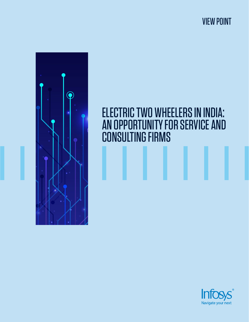VIEW POINT



# ELECTRIC TWO WHEELERS IN INDIA: AN OPPORTUNITY FOR SERVICE AND CONSULTING FIRMS

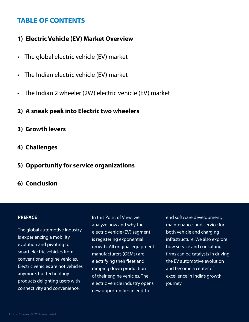## **TABLE OF CONTENTS**

## **1) Electric Vehicle (EV) Market Overview**

- The global electric vehicle (EV) market
- The Indian electric vehicle (EV) market
- The Indian 2 wheeler (2W) electric vehicle (EV) market
- **2) A sneak peak into Electric two wheelers**
- **3) Growth levers**
- **4) Challenges**
- **5) Opportunity for service organizations**
- **6) Conclusion**

### **PREFACE**

The global automotive industry is experiencing a mobility evolution and pivoting to smart electric vehicles from conventional engine vehicles. Electric vehicles are not vehicles anymore, but technology products delighting users with connectivity and convenience.

In this Point of View, we analyze how and why the electric vehicle (EV) segment is registering exponential growth. All original equipment manufacturers (OEMs) are electrifying their fleet and ramping down production of their engine vehicles. The electric vehicle industry opens new opportunities in end-to-

end software development, maintenance, and service for both vehicle and charging infrastructure. We also explore how service and consulting firms can be catalysts in driving the EV automotive evolution and become a center of excellence in India's growth journey.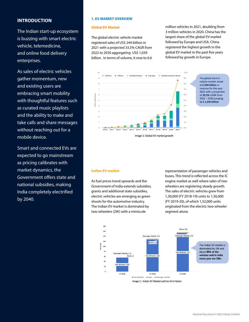#### **INTRODUCTION**

The Indian start-up ecosystem is buzzing with smart electric vehicle, telemedicine, and online food delivery enterprises.

As sales of electric vehicles gather momentum, new and existing users are embracing smart mobility with thoughtful features such as curated music playlists and the ability to make and take calls and share messages without reaching out for a mobile device.

Smart and connected EVs are expected to go mainstream as pricing calibrates with market dynamics, the Government offers state and national subsidies, making India completely electrified by 2040.

#### **1. EV MARKET OVERVIEW**

#### **Global EV Market**

The global electric vehicle market registered sales of US\$ 244 billion in 2021 with a projected 33.5% CAGR from 2022 to 2030 aggregating US\$ 1,039 billion. In terms of volume, it rose to 6.6

million vehicles in 2021, doubling from 3 million vehicles in 2020. China has the largest share of the global EV market followed by Europe and USA. China registered the highest growth in the global EV market in the past five years followed by growth in Europe.



The global electric vehicle market stood at \$244 billion in revenue for the year 2021 with a projection of 33.5% CAGR from 2022 - 2030 jumping to \$1,039 billion

#### **Indian EV market**

As fuel prices trend upwards and the Government of India extends subsidies, grants and additional state subsidies, electric vehicles are emerging as green shoots for the automotive industry. The Indian EV market is dominated by two-wheelers (2W) with a miniscule

representation of passenger vehicles and buses. This trend is reflected across the IC engine market as well where sales of two wheelers are registering steady growth. The sales of electric vehicles grew from 1,30,000 (FY 2018-19) units to 1,56,000 (FY 2019-20), of which 1,52,000 units originated from the electric two-wheeler segment alone.

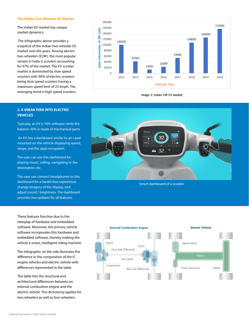#### **The Indian Two-Wheeler EV Market**

The Indian EV market has unique market dynamics.

 The infographic above provides a snapshot of the Indian two-wheeler EV market over the years. Among electric two-wheelers (E2W), the most popular variant in India is scooters accounting for 97% of the market. The EV scooter market is dominated by slow speed scooters with 90% of electric scooters being slow speed scooters having a maximum speed limit of 25 kmph. The emerging trend is high speed scooters.



Image 3: Indian 2W EV market

#### **2. A SNEAK PEEK INTO ELECTRIC VEHICLES**

Typically, an EV is 70% software while the balance 30% is made of mechanical parts.

 An EV has a dashboard similar to an i-pad mounted on the vehicle displaying speed, range, and the apps ecosystem.

The user can use this dashboard for playing music, calling, navigating to the destination, etc.

The user can connect headphones to this dashboard for a hands-free experience, change imagery of the display, and adjust sound / brightness. The dashboard provides live updates for all features.

These features function due to the interplay of hardware and embedded software. Moreover, the primary vehicle software incorporates this hardware and embedded software, thereby making the vehicle a smart, intelligent riding machine.

The infographic on the side illustrates the difference in the composition of the IC engine vehicles and electric vehicle with differences represented in the table.

The table lists the structural and architectural differences between an internal combustion engine and the electric vehicle. This dichotomy applies for two-wheelers as well as four-wheelers.

External Document © 2022 Infosys Limited



Smart dashboard of a scooter

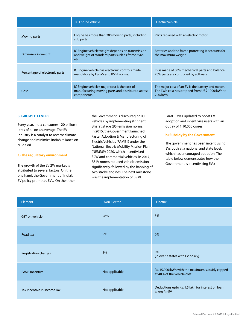|                                | IC Engine Vehicle                                                                                                 | Electric Vehicle                                                                                                |
|--------------------------------|-------------------------------------------------------------------------------------------------------------------|-----------------------------------------------------------------------------------------------------------------|
| Moving parts                   | Engine has more than 200 moving parts, including<br>sub parts.                                                    | Parts replaced with an electric motor.                                                                          |
| Difference in weight           | IC Engine vehicle weight depends on transmission<br>and weight of standard parts such as frame, tyre,<br>etc.     | Batteries and the frame protecting it accounts for<br>the maximum weight.                                       |
| Percentage of electronic parts | IC Engine vehicle has electronic controls made<br>mandatory by Euro V and BS VI norms.                            | EV is made of 30% mechanical parts and balance<br>70% parts are controlled by software.                         |
| Cost                           | IC Engine vehicle's major cost is the cost of<br>manufacturing moving parts and distributed across<br>components. | The major cost of an EV is the battery and motor.<br>The kWh cost has dropped from US\$ 1000/kWh to<br>200/kWh. |

#### **3. GROWTH LEVERS**

Every year, India consumes 120 billion+ litres of oil on an average. The EV industry is a catalyst to reverse climate change and minimize India's reliance on crude oil.

#### **a) The regulatory environment**

The growth of the EV 2W market is attributed to several factors. On the one hand, the Government of India's EV policy promotes EVs. On the other, the Government is discouraging ICE vehicles by implementing stringent Bharat Stage (BS) emission norms. In 2015, the Government launched Faster Adoption & Manufacturing of Electric Vehicles (FAME1) under the National Electric Mobility Mission Plan (NEMMP) 2020, which incentivised E2W and commercial vehicles. In 2017, BS IV norms reduced vehicle emission significantly, followed by the banning of two stroke engines. The next milestone was the implementation of BS VI.

FAME II was updated to boost EV adoption and incentivize users with an outlay of ₹ 10,000 crores.

#### **b) Subsidy by the Government**

The government has been incentivising EVs both at a national and state level, which has encouraged adoption. The table below demonstrates how the Government is incentivizing EVs:

| Element                     | <b>Non Electric</b> | Electric                                                                     |
|-----------------------------|---------------------|------------------------------------------------------------------------------|
| <b>GST</b> on vehicle       | 28%                 | 5%                                                                           |
| Road tax                    | 9%                  | 0%                                                                           |
| Registration charges        | 5%                  | 0%<br>(in over 7 states with EV policy)                                      |
| <b>FAME</b> Incentive       | Not applicable      | Rs. 15,000/kWh with the maximum subsidy capped<br>at 40% of the vehicle cost |
| Tax incentive in Income Tax | Not applicable      | Deductions upto Rs. 1.5 lakh for interest on loan<br>taken for EV            |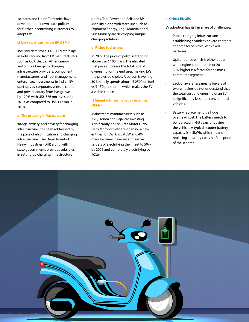18 states and Union Territories have developed their own state policies for further incentivizing customers to adopt EVs.

#### **c) New start-ups - (new EV OEMs)**

Industry data reveals 480+ EV start-ups in India ranging from EV manufacturers such as OLA Electric, Ather Energy and Simple Energy to charging infrastructure providers, component manufacturers, and fleet management enterprises. Investments in Indian EV start-ups by corporate, venture capital and private equity firms has grown by 170% with US\$ 376 mn invested in 2019, as compared to US\$ 147 mn in 2018.

#### **d) The growing infrastructure**

'Range anxiety' and anxiety for charging infrastructure has been addressed by the pace of electrification and charging infrastructure . The Department of Heavy Industries (DHI) along with state governments provides subsidies in setting up charging infrastructure

points. Tata Power and Reliance BP Mobility along with start-ups such as Exponent Energy, Log9 Materials and Sun Mobility are developing unique charging solutions.

#### **e) Rising fuel prices**

In 2022, the price of petrol is trending above the ₹ 100 mark. The elevated fuel prices increase the total cost of ownership for the end user, making EVs the preferred choice. A person travelling 30 km daily spends almost ₹ 2500 on fuel vs ₹ 150 per month, which makes the EV a viable choice.

#### **f) Manufacturers (legacy / existing OEMs)**

Mainstream manufacturers such as TVS, Honda and Bajaj are investing significantly on EVs. Tata Motors, TVS, Hero Motocorp etc are opening a new entities for EVs. Global 2W and 4W manufacturers have set aggressive targets of electrifying their fleet to 50% by 2025 and completely electrifying by 2030.

#### **4. CHALLENGES**

EV adoption has its fair share of challenges:

- Public charging infrastructure and establishing seamless private chargers at home for vehicles with fixed batteries.
- Upfront price which is either at par with engine counterparts or 20- 30% higher is a factor for the mass commuter segment
- Lack of awareness means buyers of two-wheelers do not understand that the total cost of ownership of an EV is significantly less than conventional vehicles.
- Battery replacement is a huge overhead cost. The battery needs to be replaced in 4-5 years of buying the vehicle. A typical scooter battery capacity is  $\sim$  3kWh, which means replacing a battery costs half the price of the scooter.

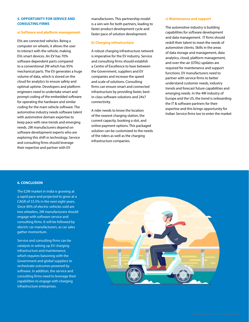#### **5. OPPORTUNITY FOR SERVICE AND CONSULTING FIRMS**

#### **a) Software and platform management**

EVs are connected vehicles. Being a computer on wheels, it allows the user to interact with the vehicle, making EVs smart devices. An EV has 70% software dependent parts compared to a conventional 2W which has 95% mechanical parts. The EV generates a huge volume of data, which is stored on the cloud for analytics to ensure safety and optimal uptime. Developers and platform engineers need to undertake smart and prompt coding of the embedded software for operating the hardware and similar coding for the main vehicle software. The automotive industry needs software talent with automotive domain expertise to keep pace with new trends and emerging needs. 2W manufacturers depend on software development experts who are exploring this shift in technology. Service and consulting firms should leverage their expertise and partner with EV

manufacturers. This partnership model is a win-win for both partners, leading to faster product development cycle and faster pace of solution development.

#### **b) Charging infrastructure**

A robust charging infrastructure network is imperative for the EV industry. Service and consulting firms should establish a Centre of Excellence to liase between the Government, suppliers and EV companies and increase the speed and scale of solutions. Consulting firms can ensure smart and connected infrastructure by providing faster, bestin-class software solutions and 24x7 connectivity.

A rider needs to know the location of the nearest charging station, the current capacity, booking a slot, and online payment options. This packaged solution can be customized to the needs of the riders as well as the charging infrastructure companies.

#### **c) Maintenance and support**

The automotive industry is building capabilities for software development and data management. IT firms should reskill their talent to meet the needs of automotive clients. Skills in the areas of data storage and management, data analytics, cloud, platform management, and over-the-air (OTAs) updates are required for maintenance and support functions. EV manufacturers need to partner with service firms to better understand customer needs, industry trends and forecast future capabilities and emerging needs. In the 4W industry of Europe and the US, the trend is onboarding the IT & software partners for their expertise and this brings opportunity for Indian Service firms too to enter the market

#### **6. CONCLUSION**

The E2W market in India is growing at a rapid pace and projected to grow at a CAGR of 33.5% in the next eight years. Since 90% of electric vehicles sold are two wheelers, 2W manufacturers should engage with software service and consulting firms. It will be followed by electric car manufacturers, as car sales gather momentum.

Service and consulting firms can be catalysts in setting up EV charging infrastructure and maintenance, which requires liaisoning with the Government and global suppliers to orchestrate outcomes powered by software. In addition, the service and consulting firms need to leverage their capabilities to engage with charging infrastructure enterprises.